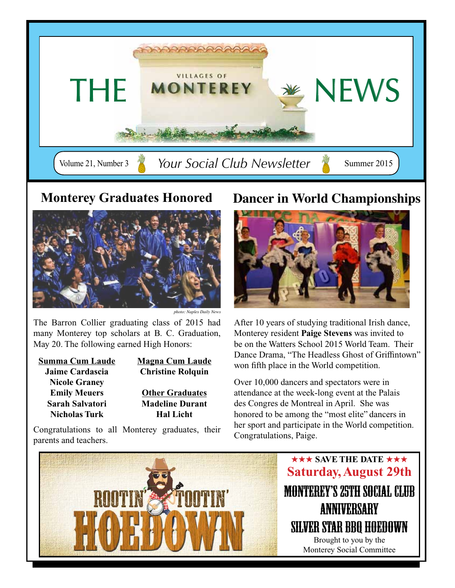



*photo: Naples Daily News*

The Barron Collier graduating class of 2015 had many Monterey top scholars at B. C. Graduation, May 20. The following earned High Honors:

| Summa Cum Laude        |
|------------------------|
| <b>Jaime Cardascia</b> |
| <b>Nicole Graney</b>   |
| <b>Emily Meuers</b>    |
| Sarah Salvatori        |
| <b>Nicholas Turk</b>   |

**Magna Cum Laude Christine Rolquin**

**Other Graduates Madeline Durant Hal Licht**

Congratulations to all Monterey graduates, their parents and teachers.

### **Monterey Graduates Honored Dancer in World Championships**



After 10 years of studying traditional Irish dance, Monterey resident **Paige Stevens** was invited to be on the Watters School 2015 World Team. Their Dance Drama, "The Headless Ghost of Griffintown" won fifth place in the World competition.

Over 10,000 dancers and spectators were in attendance at the week-long event at the Palais des Congres de Montreal in April. She was honored to be among the "most elite" dancers in her sport and participate in the World competition. Congratulations, Paige.

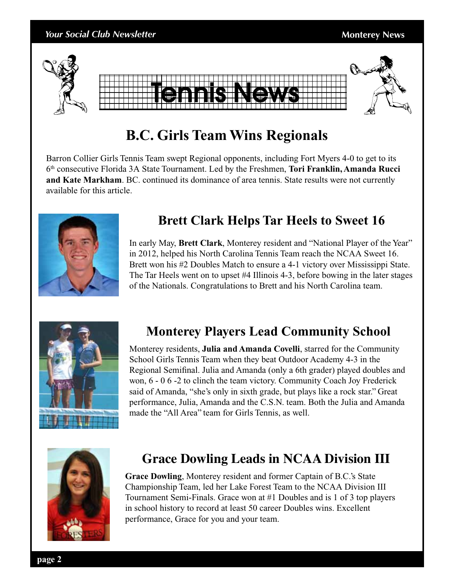

## **B.C. Girls Team Wins Regionals**

Barron Collier Girls Tennis Team swept Regional opponents, including Fort Myers 4-0 to get to its 6th consecutive Florida 3A State Tournament. Led by the Freshmen, **Tori Franklin, Amanda Rucci and Kate Markham**. BC. continued its dominance of area tennis. State results were not currently available for this article.



### **Brett Clark Helps Tar Heels to Sweet 16**

In early May, **Brett Clark**, Monterey resident and "National Player of the Year" in 2012, helped his North Carolina Tennis Team reach the NCAA Sweet 16. Brett won his #2 Doubles Match to ensure a 4-1 victory over Mississippi State. The Tar Heels went on to upset #4 Illinois 4-3, before bowing in the later stages of the Nationals. Congratulations to Brett and his North Carolina team.



### **Monterey Players Lead Community School**

Monterey residents, **Julia and Amanda Covelli**, starred for the Community School Girls Tennis Team when they beat Outdoor Academy 4-3 in the Regional Semifinal. Julia and Amanda (only a 6th grader) played doubles and won, 6 - 0 6 -2 to clinch the team victory. Community Coach Joy Frederick said of Amanda, "she's only in sixth grade, but plays like a rock star." Great performance, Julia, Amanda and the C.S.N. team. Both the Julia and Amanda made the "All Area" team for Girls Tennis, as well.



### **Grace Dowling Leads in NCAA Division III**

**Grace Dowling**, Monterey resident and former Captain of B.C.'s State Championship Team, led her Lake Forest Team to the NCAA Division III Tournament Semi-Finals. Grace won at #1 Doubles and is 1 of 3 top players in school history to record at least 50 career Doubles wins. Excellent performance, Grace for you and your team.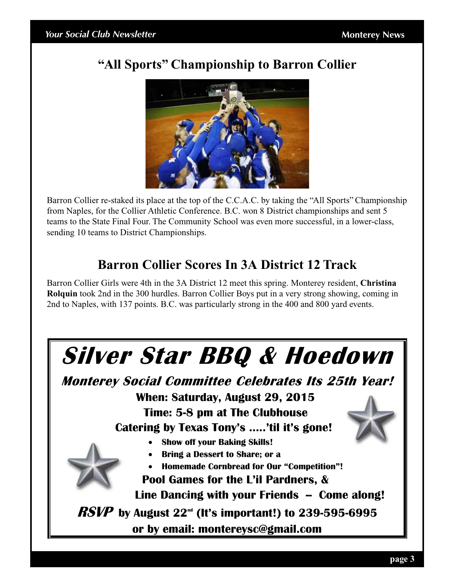### **"All Sports" Championship to Barron Collier**



Barron Collier re-staked its place at the top of the C.C.A.C. by taking the "All Sports" Championship from Naples, for the Collier Athletic Conference. B.C. won 8 District championships and sent 5 teams to the State Final Four. The Community School was even more successful, in a lower-class, sending 10 teams to District Championships.

### **Barron Collier Scores In 3A District 12 Track**

Barron Collier Girls were 4th in the 3A District 12 meet this spring. Monterey resident, **Christina Rolquin** took 2nd in the 300 hurdles. Barron Collier Boys put in a very strong showing, coming in 2nd to Naples, with 137 points. B.C. was particularly strong in the 400 and 800 yard events.

# **Silver Star BBQ & Hoedown**

**Monterey Social Committee Celebrates Its 25th Year!**

 **When: Saturday, August 29, 2015**

 **Time: 5-8 pm at The Clubhouse**

 **Catering by Texas Tony's …..'til it's gone!**

- **Show off your Baking Skills!**
- **Bring a Dessert to Share; or a**
- **Homemade Cornbread for Our "Competition"!**

**Pool Games for the L'il Pardners, &** 

**Line Dancing with your Friends -- Come along!**

**RSVP by August 22nd (It's important!) to 239-595-6995**

**or by email: montereysc@gmail.com**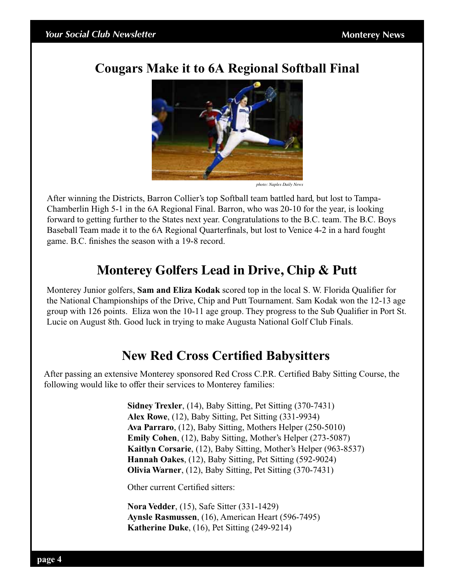### **Cougars Make it to 6A Regional Softball Final**



*photo: Naples Daily News*

After winning the Districts, Barron Collier's top Softball team battled hard, but lost to Tampa-Chamberlin High 5-1 in the 6A Regional Final. Barron, who was 20-10 for the year, is looking forward to getting further to the States next year. Congratulations to the B.C. team. The B.C. Boys Baseball Team made it to the 6A Regional Quarterfinals, but lost to Venice 4-2 in a hard fought game. B.C. finishes the season with a 19-8 record.

### **Monterey Golfers Lead in Drive, Chip & Putt**

Monterey Junior golfers, **Sam and Eliza Kodak** scored top in the local S. W. Florida Qualifier for the National Championships of the Drive, Chip and Putt Tournament. Sam Kodak won the 12-13 age group with 126 points. Eliza won the 10-11 age group. They progress to the Sub Qualifier in Port St. Lucie on August 8th. Good luck in trying to make Augusta National Golf Club Finals.

### **New Red Cross Certified Babysitters**

After passing an extensive Monterey sponsored Red Cross C.P.R. Certified Baby Sitting Course, the following would like to offer their services to Monterey families:

> **Sidney Trexler**, (14), Baby Sitting, Pet Sitting (370-7431) **Alex Rowe**, (12), Baby Sitting, Pet Sitting (331-9934) **Ava Parraro**, (12), Baby Sitting, Mothers Helper (250-5010) **Emily Cohen**, (12), Baby Sitting, Mother's Helper (273-5087) **Kaitlyn Corsarie**, (12), Baby Sitting, Mother's Helper (963-8537) **Hannah Oakes**, (12), Baby Sitting, Pet Sitting (592-9024) **Olivia Warner**, (12), Baby Sitting, Pet Sitting (370-7431)

Other current Certified sitters:

**Nora Vedder**, (15), Safe Sitter (331-1429) **Aynsle Rasmussen**, (16), American Heart (596-7495) **Katherine Duke**, (16), Pet Sitting (249-9214)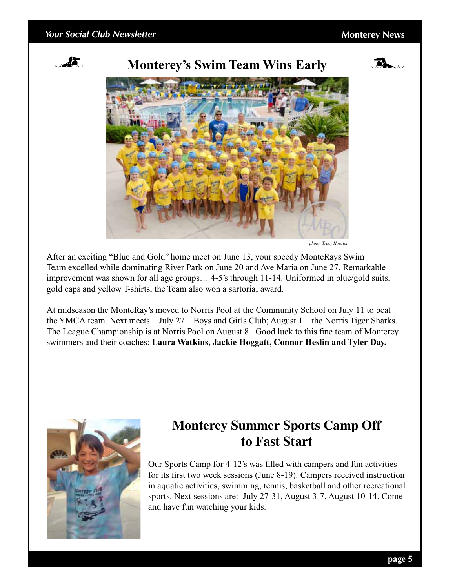#### *Your Social Club Newsletter* **Monterey News Monterey News**



#### **Monterey's Swim Team Wins Early**





*photo: Tracy Houston*

After an exciting "Blue and Gold" home meet on June 13, your speedy MonteRays Swim Team excelled while dominating River Park on June 20 and Ave Maria on June 27. Remarkable improvement was shown for all age groups… 4-5's through 11-14. Uniformed in blue/gold suits, gold caps and yellow T-shirts, the Team also won a sartorial award.

At midseason the MonteRay's moved to Norris Pool at the Community School on July 11 to beat the YMCA team. Next meets – July 27 – Boys and Girls Club; August 1 – the Norris Tiger Sharks. The League Championship is at Norris Pool on August 8. Good luck to this fine team of Monterey swimmers and their coaches: **Laura Watkins, Jackie Hoggatt, Connor Heslin and Tyler Day.**



### **Monterey Summer Sports Camp Off to Fast Start**

Our Sports Camp for 4-12's was filled with campers and fun activities for its first two week sessions (June 8-19). Campers received instruction in aquatic activities, swimming, tennis, basketball and other recreational sports. Next sessions are: July 27-31, August 3-7, August 10-14. Come and have fun watching your kids.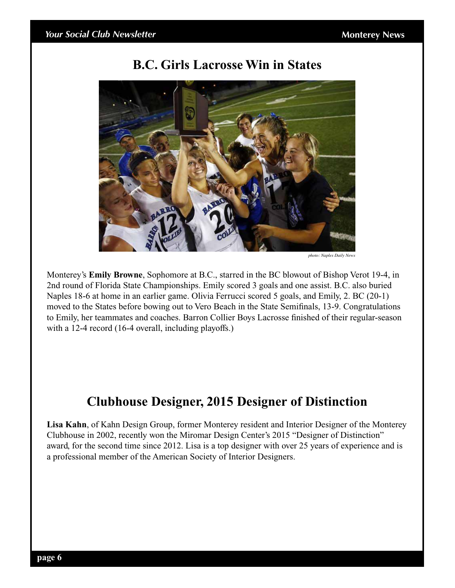#### **B.C. Girls Lacrosse Win in States**



*photo: Naples Daily News*

Monterey's **Emily Browne**, Sophomore at B.C., starred in the BC blowout of Bishop Verot 19-4, in 2nd round of Florida State Championships. Emily scored 3 goals and one assist. B.C. also buried Naples 18-6 at home in an earlier game. Olivia Ferrucci scored 5 goals, and Emily, 2. BC (20-1) moved to the States before bowing out to Vero Beach in the State Semifinals, 13-9. Congratulations to Emily, her teammates and coaches. Barron Collier Boys Lacrosse finished of their regular-season with a 12-4 record (16-4 overall, including playoffs.)

### **Clubhouse Designer, 2015 Designer of Distinction**

**Lisa Kahn**, of Kahn Design Group, former Monterey resident and Interior Designer of the Monterey Clubhouse in 2002, recently won the Miromar Design Center's 2015 "Designer of Distinction" award, for the second time since 2012. Lisa is a top designer with over 25 years of experience and is a professional member of the American Society of Interior Designers.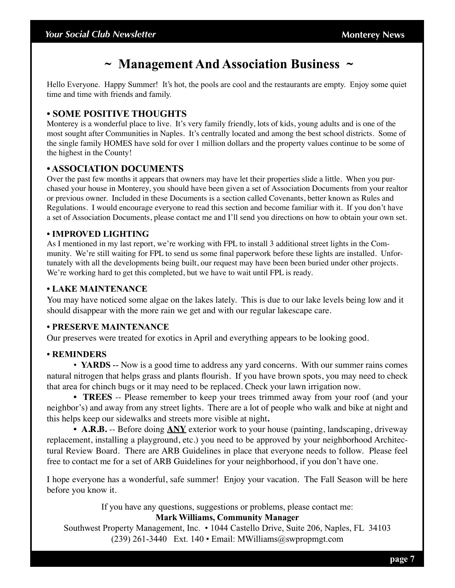#### **~ Management And Association Business ~**

Hello Everyone. Happy Summer! It's hot, the pools are cool and the restaurants are empty. Enjoy some quiet time and time with friends and family.

#### **• SOME POSITIVE THOUGHTS**

Monterey is a wonderful place to live. It's very family friendly, lots of kids, young adults and is one of the most sought after Communities in Naples. It's centrally located and among the best school districts. Some of the single family HOMES have sold for over 1 million dollars and the property values continue to be some of the highest in the County!

#### **• association documents**

Over the past few months it appears that owners may have let their properties slide a little. When you purchased your house in Monterey, you should have been given a set of Association Documents from your realtor or previous owner. Included in these Documents is a section called Covenants, better known as Rules and Regulations. I would encourage everyone to read this section and become familiar with it. If you don't have a set of Association Documents, please contact me and I'll send you directions on how to obtain your own set.

#### **• IMPROVED LIGHTING**

As I mentioned in my last report, we're working with FPL to install 3 additional street lights in the Community. We're still waiting for FPL to send us some final paperwork before these lights are installed. Unfortunately with all the developments being built, our request may have been been buried under other projects. We're working hard to get this completed, but we have to wait until FPL is ready.

#### **• LAKE MAINTENANCE**

You may have noticed some algae on the lakes lately. This is due to our lake levels being low and it should disappear with the more rain we get and with our regular lakescape care.

#### **• PRESERVE Maintenance**

Our preserves were treated for exotics in April and everything appears to be looking good.

#### **• REMINDERS**

• **YARDS** -- Now is a good time to address any yard concerns. With our summer rains comes natural nitrogen that helps grass and plants flourish. If you have brown spots, you may need to check that area for chinch bugs or it may need to be replaced. Check your lawn irrigation now.

• **TREES** -- Please remember to keep your trees trimmed away from your roof (and your neighbor's) and away from any street lights. There are a lot of people who walk and bike at night and this helps keep our sidewalks and streets more visible at night**.**

• **A.R.B.** -- Before doing **ANY** exterior work to your house (painting, landscaping, driveway replacement, installing a playground, etc.) you need to be approved by your neighborhood Architectural Review Board. There are ARB Guidelines in place that everyone needs to follow. Please feel free to contact me for a set of ARB Guidelines for your neighborhood, if you don't have one.

I hope everyone has a wonderful, safe summer! Enjoy your vacation. The Fall Season will be here before you know it.

If you have any questions, suggestions or problems, please contact me:

#### **Mark Williams, Community Manager**

Southwest Property Management, Inc. • 1044 Castello Drive, Suite 206, Naples, FL 34103 (239) 261-3440 Ext. 140 • Email: MWilliams@swpropmgt.com